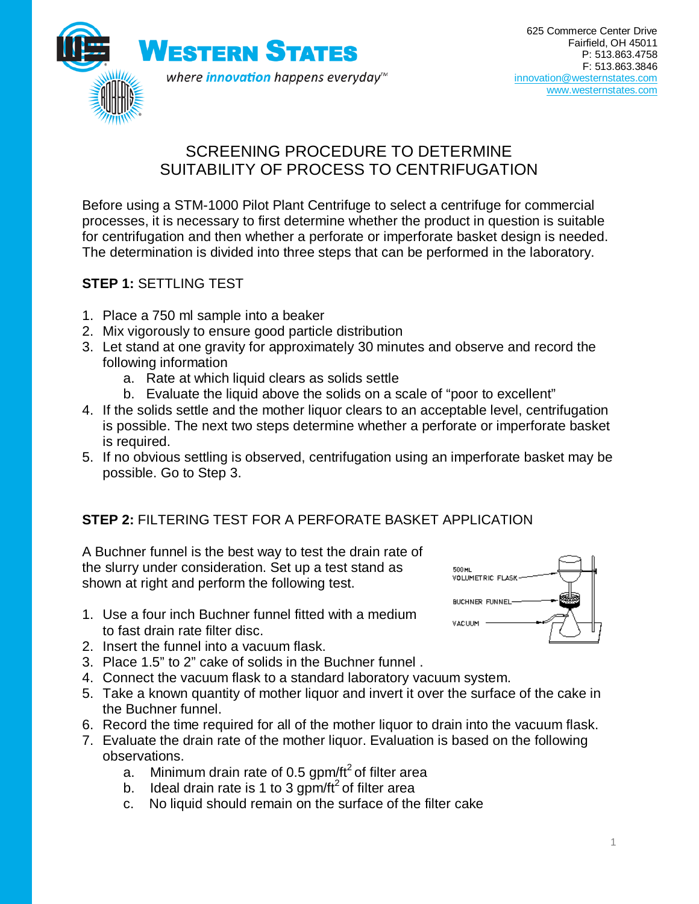

## SCREENING PROCEDURE TO DETERMINE SUITABILITY OF PROCESS TO CENTRIFUGATION

Before using a STM-1000 Pilot Plant Centrifuge to select a centrifuge for commercial processes, it is necessary to first determine whether the product in question is suitable for centrifugation and then whether a perforate or imperforate basket design is needed. The determination is divided into three steps that can be performed in the laboratory.

## **STEP 1:** SETTLING TEST

- 1. Place a 750 ml sample into a beaker
- 2. Mix vigorously to ensure good particle distribution
- 3. Let stand at one gravity for approximately 30 minutes and observe and record the following information
	- a. Rate at which liquid clears as solids settle
	- b. Evaluate the liquid above the solids on a scale of "poor to excellent"
- 4. If the solids settle and the mother liquor clears to an acceptable level, centrifugation is possible. The next two steps determine whether a perforate or imperforate basket is required.
- 5. If no obvious settling is observed, centrifugation using an imperforate basket may be possible. Go to Step 3.

## **STEP 2:** FILTERING TEST FOR A PERFORATE BASKET APPLICATION

A Buchner funnel is the best way to test the drain rate of the slurry under consideration. Set up a test stand as shown at right and perform the following test.

- 1. Use a four inch Buchner funnel fitted with a medium to fast drain rate filter disc.
- 2. Insert the funnel into a vacuum flask.
- 3. Place 1.5" to 2" cake of solids in the Buchner funnel .
- 4. Connect the vacuum flask to a standard laboratory vacuum system.
- 5. Take a known quantity of mother liquor and invert it over the surface of the cake in the Buchner funnel.
- 6. Record the time required for all of the mother liquor to drain into the vacuum flask.
- 7. Evaluate the drain rate of the mother liquor. Evaluation is based on the following observations.
	- a. Minimum drain rate of 0.5 gpm/ft<sup>2</sup> of filter area
	- b. Ideal drain rate is 1 to 3 gpm/ $ft^2$  of filter area
	- c. No liquid should remain on the surface of the filter cake